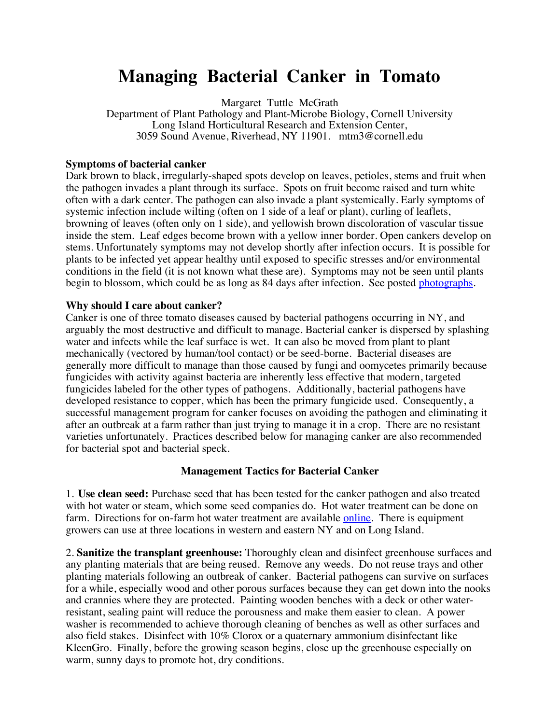## **Managing Bacterial Canker in Tomato**

Margaret Tuttle McGrath

Department of Plant Pathology and Plant-Microbe Biology, Cornell University Long Island Horticultural Research and Extension Center, 3059 Sound Avenue, Riverhead, NY 11901. mtm3@cornell.edu

## **Symptoms of bacterial canker**

Dark brown to black, irregularly-shaped spots develop on leaves, petioles, stems and fruit when the pathogen invades a plant through its surface. Spots on fruit become raised and turn white often with a dark center. The pathogen can also invade a plant systemically. Early symptoms of systemic infection include wilting (often on 1 side of a leaf or plant), curling of leaflets, browning of leaves (often only on 1 side), and yellowish brown discoloration of vascular tissue inside the stem. Leaf edges become brown with a yellow inner border. Open cankers develop on stems. Unfortunately symptoms may not develop shortly after infection occurs. It is possible for plants to be infected yet appear healthy until exposed to specific stresses and/or environmental conditions in the field (it is not known what these are). Symptoms may not be seen until plants begin to blossom, which could be as long as 84 days after infection. See posted photographs.

## **Why should I care about canker?**

Canker is one of three tomato diseases caused by bacterial pathogens occurring in NY, and arguably the most destructive and difficult to manage. Bacterial canker is dispersed by splashing water and infects while the leaf surface is wet. It can also be moved from plant to plant mechanically (vectored by human/tool contact) or be seed-borne. Bacterial diseases are generally more difficult to manage than those caused by fungi and oomycetes primarily because fungicides with activity against bacteria are inherently less effective that modern, targeted fungicides labeled for the other types of pathogens. Additionally, bacterial pathogens have developed resistance to copper, which has been the primary fungicide used. Consequently, a successful management program for canker focuses on avoiding the pathogen and eliminating it after an outbreak at a farm rather than just trying to manage it in a crop. There are no resistant varieties unfortunately. Practices described below for managing canker are also recommended for bacterial spot and bacterial speck.

## **Management Tactics for Bacterial Canker**

1. **Use clean seed:** Purchase seed that has been tested for the canker pathogen and also treated with hot water or steam, which some seed companies do. Hot water treatment can be done on farm. Directions for on-farm hot water treatment are available online. There is equipment growers can use at three locations in western and eastern NY and on Long Island.

2. **Sanitize the transplant greenhouse:** Thoroughly clean and disinfect greenhouse surfaces and any planting materials that are being reused. Remove any weeds. Do not reuse trays and other planting materials following an outbreak of canker. Bacterial pathogens can survive on surfaces for a while, especially wood and other porous surfaces because they can get down into the nooks and crannies where they are protected. Painting wooden benches with a deck or other waterresistant, sealing paint will reduce the porousness and make them easier to clean. A power washer is recommended to achieve thorough cleaning of benches as well as other surfaces and also field stakes. Disinfect with 10% Clorox or a quaternary ammonium disinfectant like KleenGro. Finally, before the growing season begins, close up the greenhouse especially on warm, sunny days to promote hot, dry conditions.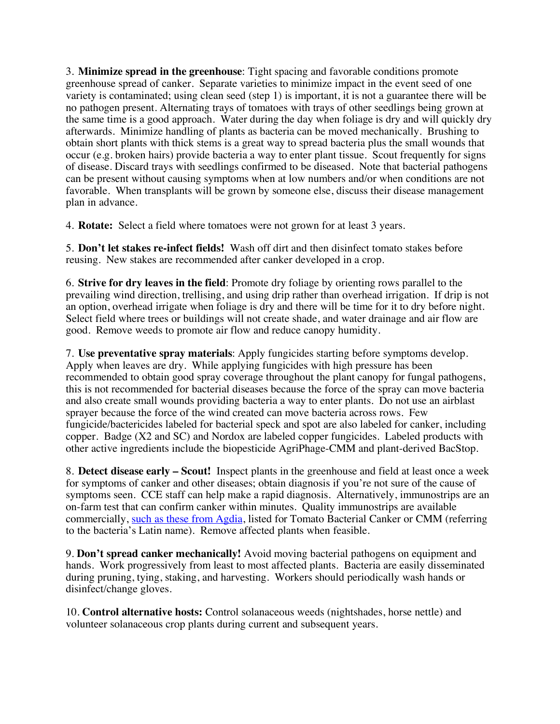3. **Minimize spread in the greenhouse**: Tight spacing and favorable conditions promote greenhouse spread of canker. Separate varieties to minimize impact in the event seed of one variety is contaminated; using clean seed (step 1) is important, it is not a guarantee there will be no pathogen present. Alternating trays of tomatoes with trays of other seedlings being grown at the same time is a good approach. Water during the day when foliage is dry and will quickly dry afterwards. Minimize handling of plants as bacteria can be moved mechanically. Brushing to obtain short plants with thick stems is a great way to spread bacteria plus the small wounds that occur (e.g. broken hairs) provide bacteria a way to enter plant tissue. Scout frequently for signs of disease. Discard trays with seedlings confirmed to be diseased. Note that bacterial pathogens can be present without causing symptoms when at low numbers and/or when conditions are not favorable. When transplants will be grown by someone else, discuss their disease management plan in advance.

4. **Rotate:** Select a field where tomatoes were not grown for at least 3 years.

5. **Don't let stakes re-infect fields!** Wash off dirt and then disinfect tomato stakes before reusing. New stakes are recommended after canker developed in a crop.

6. **Strive for dry leaves in the field**: Promote dry foliage by orienting rows parallel to the prevailing wind direction, trellising, and using drip rather than overhead irrigation. If drip is not an option, overhead irrigate when foliage is dry and there will be time for it to dry before night. Select field where trees or buildings will not create shade, and water drainage and air flow are good. Remove weeds to promote air flow and reduce canopy humidity.

7. **Use preventative spray materials**: Apply fungicides starting before symptoms develop. Apply when leaves are dry. While applying fungicides with high pressure has been recommended to obtain good spray coverage throughout the plant canopy for fungal pathogens, this is not recommended for bacterial diseases because the force of the spray can move bacteria and also create small wounds providing bacteria a way to enter plants. Do not use an airblast sprayer because the force of the wind created can move bacteria across rows. Few fungicide/bactericides labeled for bacterial speck and spot are also labeled for canker, including copper. Badge (X2 and SC) and Nordox are labeled copper fungicides. Labeled products with other active ingredients include the biopesticide AgriPhage-CMM and plant-derived BacStop.

8. **Detect disease early – Scout!** Inspect plants in the greenhouse and field at least once a week for symptoms of canker and other diseases; obtain diagnosis if you're not sure of the cause of symptoms seen. CCE staff can help make a rapid diagnosis. Alternatively, immunostrips are an on-farm test that can confirm canker within minutes. Quality immunostrips are available commercially, such as these from Agdia, listed for Tomato Bacterial Canker or CMM (referring to the bacteria's Latin name). Remove affected plants when feasible.

9. **Don't spread canker mechanically!** Avoid moving bacterial pathogens on equipment and hands. Work progressively from least to most affected plants. Bacteria are easily disseminated during pruning, tying, staking, and harvesting. Workers should periodically wash hands or disinfect/change gloves.

10. **Control alternative hosts:** Control solanaceous weeds (nightshades, horse nettle) and volunteer solanaceous crop plants during current and subsequent years.